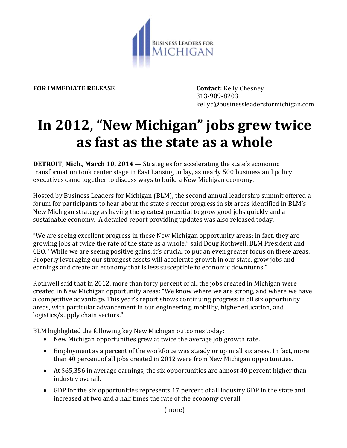

**FOR IMMEDIATE RELEASE Contact:** Kelly Chesney

313-909-8203 kellyc@businessleadersformichigan.com

## **In 2012, "New Michigan" jobs grew twice as fast as the state as a whole**

**DETROIT, Mich., March 10, 2014** — Strategies for accelerating the state's economic transformation took center stage in East Lansing today, as nearly 500 business and policy executives came together to discuss ways to build a New Michigan economy.

Hosted by Business Leaders for Michigan (BLM), the second annual leadership summit offered a forum for participants to hear about the state's recent progress in six areas identified in BLM's New Michigan strategy as having the greatest potential to grow good jobs quickly and a sustainable economy. A detailed report providing updates was also released today.

"We are seeing excellent progress in these New Michigan opportunity areas; in fact, they are growing jobs at twice the rate of the state as a whole," said Doug Rothwell, BLM President and CEO. "While we are seeing positive gains, it's crucial to put an even greater focus on these areas. Properly leveraging our strongest assets will accelerate growth in our state, grow jobs and earnings and create an economy that is less susceptible to economic downturns."

Rothwell said that in 2012, more than forty percent of all the jobs created in Michigan were created in New Michigan opportunity areas: "We know where we are strong, and where we have a competitive advantage. This year's report shows continuing progress in all six opportunity areas, with particular advancement in our engineering, mobility, higher education, and logistics/supply chain sectors."

BLM highlighted the following key New Michigan outcomes today:

- New Michigan opportunities grew at twice the average job growth rate.
- Employment as a percent of the workforce was steady or up in all six areas. In fact, more than 40 percent of all jobs created in 2012 were from New Michigan opportunities.
- At \$65,356 in average earnings, the six opportunities are almost 40 percent higher than industry overall.
- GDP for the six opportunities represents 17 percent of all industry GDP in the state and increased at two and a half times the rate of the economy overall.